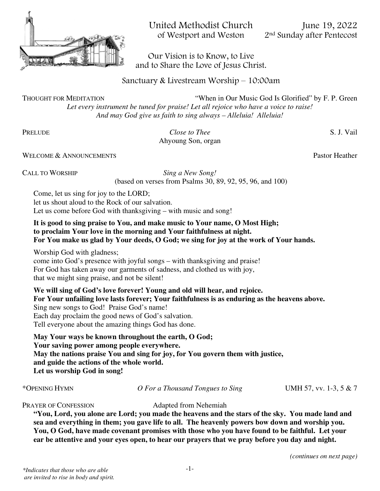

United Methodist Church<br>of Westport and Weston 2<sup>nd</sup> Sunday after Pentecost

2<sup>nd</sup> Sunday after Pentecost

 Our Vision is to Know, to Live and to Share the Love of Jesus Christ.

Sanctuary & Livestream Worship – 10:00am

THOUGHT FOR MEDITATION "When in Our Music God Is Glorified" by F. P. Green

*Let every instrument be tuned for praise! Let all rejoice who have a voice to raise! And may God give us faith to sing always – Alleluia! Alleluia!* 

PRELUDE *Close to Thee* S. J. Vail Ahyoung Son, organ

WELCOME & ANNOUNCEMENTS **Pastor Heather** Pastor Heather

CALL TO WORSHIP *Sing a New Song!*  (based on verses from Psalms 30, 89, 92, 95, 96, and 100)

Come, let us sing for joy to the LORD; let us shout aloud to the Rock of our salvation. Let us come before God with thanksgiving – with music and song!

#### **It is good to sing praise to You, and make music to Your name, O Most High; to proclaim Your love in the morning and Your faithfulness at night. For You make us glad by Your deeds, O God; we sing for joy at the work of Your hands.**

Worship God with gladness; come into God's presence with joyful songs – with thanksgiving and praise! For God has taken away our garments of sadness, and clothed us with joy, that we might sing praise, and not be silent!

**We will sing of God's love forever! Young and old will hear, and rejoice. For Your unfailing love lasts forever; Your faithfulness is as enduring as the heavens above.** Sing new songs to God! Praise God's name! Each day proclaim the good news of God's salvation. Tell everyone about the amazing things God has done.

**May Your ways be known throughout the earth, O God; Your saving power among people everywhere. May the nations praise You and sing for joy, for You govern them with justice, and guide the actions of the whole world. Let us worship God in song!**

\*OPENING HYMN *O For a Thousand Tongues to Sing* UMH 57, vv. 1-3, 5 & 7

PRAYER OF CONFESSION Adapted from Nehemiah

**"You, Lord, you alone are Lord; you made the heavens and the stars of the sky. You made land and sea and everything in them; you gave life to all. The heavenly powers bow down and worship you. You, O God, have made covenant promises with those who you have found to be faithful. Let your ear be attentive and your eyes open, to hear our prayers that we pray before you day and night.**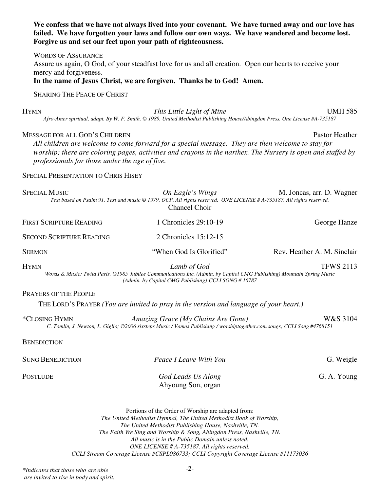# **We confess that we have not always lived into your covenant. We have turned away and our love has failed. We have forgotten your laws and follow our own ways. We have wandered and become lost. Forgive us and set our feet upon your path of righteousness.**

WORDS OF ASSURANCE Assure us again, O God, of your steadfast love for us and all creation. Open our hearts to receive your mercy and forgiveness.

**In the name of Jesus Christ, we are forgiven. Thanks be to God! Amen.** 

SHARING THE PEACE OF CHRIST

HYMN *This Little Light of Mine* UMH 585

*Afro-Amer spiritual, adapt. By W. F. Smith. © 1989, United Methodist Publishing House/Abingdon Press. One License #A-735187* 

#### MESSAGE FOR ALL GOD'S CHILDREN **Pastor Heather** Pastor Heather

*All children are welcome to come forward for a special message. They are then welcome to stay for worship; there are coloring pages, activities and crayons in the narthex. The Nursery is open and staffed by professionals for those under the age of five.* 

### SPECIAL PRESENTATION TO CHRIS HISEY

| <b>SPECIAL MUSIC</b><br>On Eagle's Wings<br>M. Joncas, arr. D. Wagner<br>Text based on Psalm 91. Text and music © 1979, OCP. All rights reserved. ONE LICENSE # A-735187. All rights reserved.<br><b>Chancel Choir</b>    |                                                                                                                                                                |                             |
|---------------------------------------------------------------------------------------------------------------------------------------------------------------------------------------------------------------------------|----------------------------------------------------------------------------------------------------------------------------------------------------------------|-----------------------------|
| <b>FIRST SCRIPTURE READING</b>                                                                                                                                                                                            | 1 Chronicles 29:10-19                                                                                                                                          | George Hanze                |
| <b>SECOND SCRIPTURE READING</b>                                                                                                                                                                                           | 2 Chronicles 15:12-15                                                                                                                                          |                             |
| <b>SERMON</b>                                                                                                                                                                                                             | "When God Is Glorified"                                                                                                                                        | Rev. Heather A. M. Sinclair |
| <b>HYMN</b><br>TFWS 2113<br>Lamb of God<br>Words & Music: Twila Paris. ©1985 Jubilee Communications Inc. (Admin. by Capitol CMG Publishing) Mountain Spring Music<br>(Admin. by Capitol CMG Publishing) CCLI SONG # 16787 |                                                                                                                                                                |                             |
| <b>PRAYERS OF THE PEOPLE</b>                                                                                                                                                                                              |                                                                                                                                                                |                             |
|                                                                                                                                                                                                                           | THE LORD'S PRAYER (You are invited to pray in the version and language of your heart.)                                                                         |                             |
| *CLOSING HYMN                                                                                                                                                                                                             | Amazing Grace (My Chains Are Gone)<br>C. Tomlin, J. Newton, L. Giglio; ©2006 sixsteps Music / Vamos Publishing / worshiptogether.com songs; CCLI Song #4768151 | W&S 3104                    |
| <b>BENEDICTION</b>                                                                                                                                                                                                        |                                                                                                                                                                |                             |
| <b>SUNG BENEDICTION</b>                                                                                                                                                                                                   | Peace I Leave With You                                                                                                                                         | G. Weigle                   |

POSTLUDE *God Leads Us Along* G. A. Young Ahyoung Son, organ

Portions of the Order of Worship are adapted from: *The United Methodist Hymnal, The United Methodist Book of Worship, The United Methodist Publishing House, Nashville, TN. The Faith We Sing and Worship & Song, Abingdon Press, Nashville, TN. All music is in the Public Domain unless noted. ONE LICENSE # A-735187. All rights reserved. CCLI Stream Coverage License #CSPL086733; CCLI Copyright Coverage License #11173036* 

*\*Indicates that those who are able are invited to rise in body and spirit.*